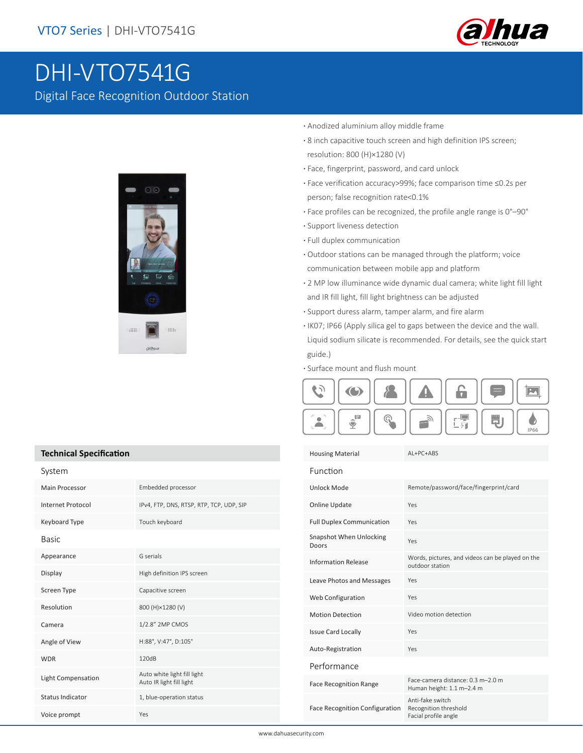

# DHI-VTO7541G

Digital Face Recognition Outdoor Station



- **·** Anodized aluminium alloy middle frame
- **·** 8 inch capacitive touch screen and high definition IPS screen; resolution: 800 (H)×1280 (V)
- **·** Face, fingerprint, password, and card unlock
- **·** Face verification accuracy>99%; face comparison time ≤0.2s per person; false recognition rate<0.1%
- **·** Face profiles can be recognized, the profile angle range is 0°–90°
- **·** Support liveness detection
- **·** Full duplex communication
- **·** Outdoor stations can be managed through the platform; voice communication between mobile app and platform
- **·** 2 MP low illuminance wide dynamic dual camera; white light fill light and IR fill light, fill light brightness can be adjusted
- **·** Support duress alarm, tamper alarm, and fire alarm
- **·** IK07; IP66 (Apply silica gel to gaps between the device and the wall. Liquid sodium silicate is recommended. For details, see the quick start guide.)
- **·** Surface mount and flush mount



Housing Material AL+PC+ABS Function Unlock Mode Remote/password/face/fingerprint/card Online Update Yes Full Duplex Communication Yes Snapshot When Unlocking Yes<br>Doors Information Release Words, pictures, and videos can be played on the outdoor station Leave Photos and Messages Yes Web Configuration Yes

Motion Detection

Performance

Issue Card Locally Yes Auto-Registration Yes

Face Recognition Range Face-camera distance: 0.3 m–2.0 m Human height: 1.1 m–2.4 m

Face Recognition Configuration Anti-fake switch Recognition threshold Facial profile angle

#### **Technical Specification**

| System                   |                                                         |  |
|--------------------------|---------------------------------------------------------|--|
| Main Processor           | Embedded processor                                      |  |
| <b>Internet Protocol</b> | IPv4, FTP, DNS, RTSP, RTP, TCP, UDP, SIP                |  |
| Keyboard Type            | Touch keyboard                                          |  |
| Basic                    |                                                         |  |
| Appearance               | G serials                                               |  |
| Display                  | High definition IPS screen                              |  |
| Screen Type              | Capacitive screen                                       |  |
| Resolution               | 800 (H)×1280 (V)                                        |  |
| Camera                   | 1/2.8" 2MP CMOS                                         |  |
| Angle of View            | H:88°, V:47°, D:105°                                    |  |
| <b>WDR</b>               | 120dB                                                   |  |
| Light Compensation       | Auto white light fill light<br>Auto IR light fill light |  |
| <b>Status Indicator</b>  | 1, blue-operation status                                |  |
| Voice prompt             | Yes                                                     |  |